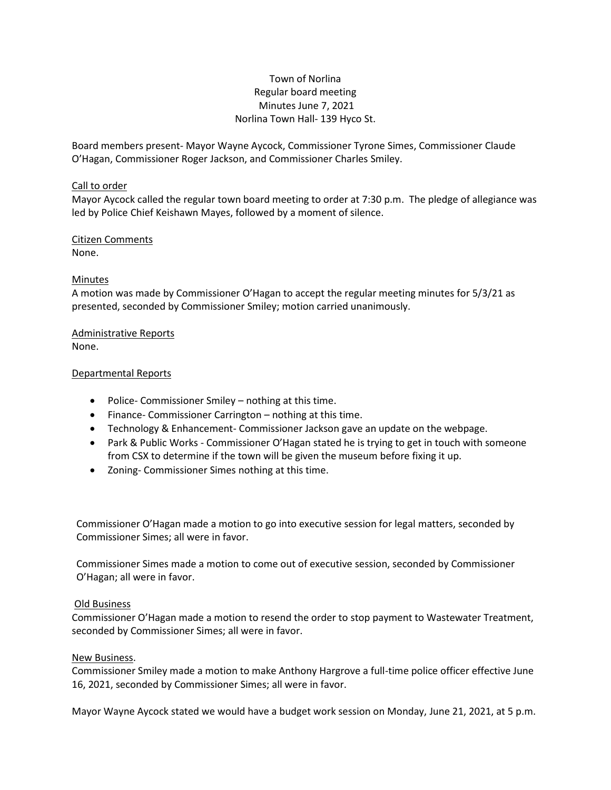## Town of Norlina Regular board meeting Minutes June 7, 2021 Norlina Town Hall- 139 Hyco St.

Board members present- Mayor Wayne Aycock, Commissioner Tyrone Simes, Commissioner Claude O'Hagan, Commissioner Roger Jackson, and Commissioner Charles Smiley.

### Call to order

Mayor Aycock called the regular town board meeting to order at 7:30 p.m. The pledge of allegiance was led by Police Chief Keishawn Mayes, followed by a moment of silence.

### Citizen Comments None.

## Minutes

A motion was made by Commissioner O'Hagan to accept the regular meeting minutes for 5/3/21 as presented, seconded by Commissioner Smiley; motion carried unanimously.

# Administrative Reports

None.

### Departmental Reports

- Police- Commissioner Smiley nothing at this time.
- Finance- Commissioner Carrington nothing at this time.
- Technology & Enhancement- Commissioner Jackson gave an update on the webpage.
- Park & Public Works Commissioner O'Hagan stated he is trying to get in touch with someone from CSX to determine if the town will be given the museum before fixing it up.
- Zoning- Commissioner Simes nothing at this time.

Commissioner O'Hagan made a motion to go into executive session for legal matters, seconded by Commissioner Simes; all were in favor.

Commissioner Simes made a motion to come out of executive session, seconded by Commissioner O'Hagan; all were in favor.

## Old Business

Commissioner O'Hagan made a motion to resend the order to stop payment to Wastewater Treatment, seconded by Commissioner Simes; all were in favor.

#### New Business.

Commissioner Smiley made a motion to make Anthony Hargrove a full-time police officer effective June 16, 2021, seconded by Commissioner Simes; all were in favor.

Mayor Wayne Aycock stated we would have a budget work session on Monday, June 21, 2021, at 5 p.m.